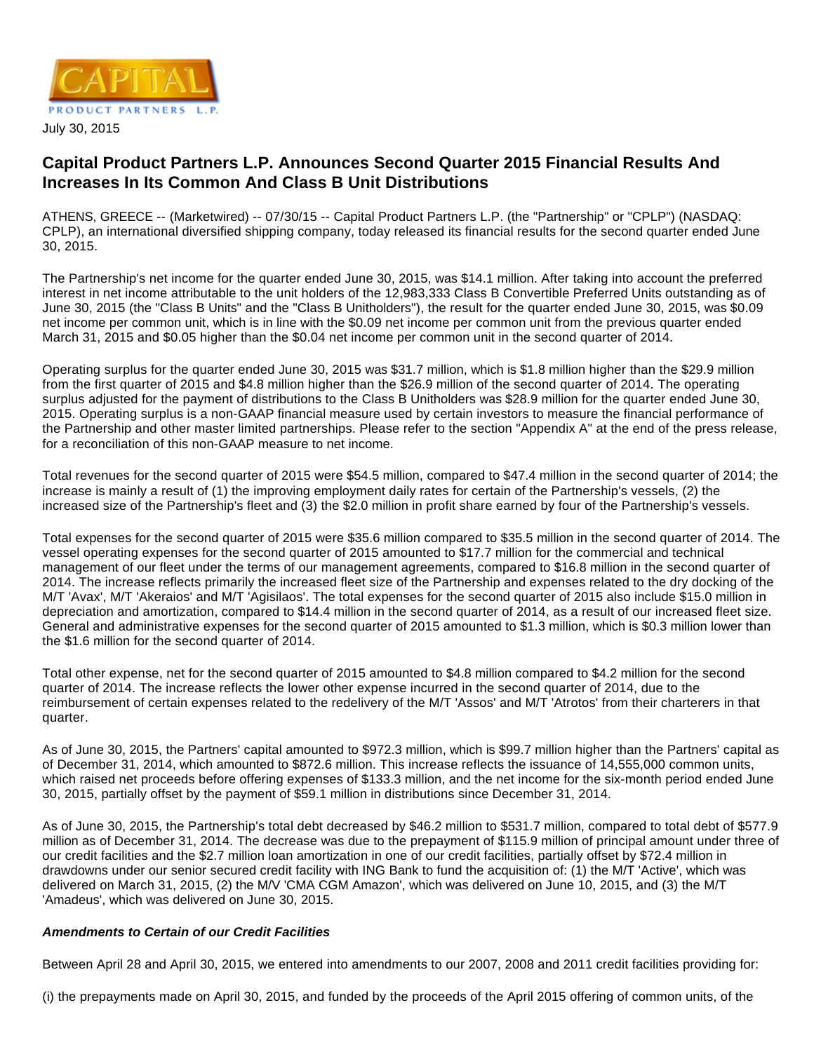

# **Capital Product Partners L.P. Announces Second Quarter 2015 Financial Results And Increases In Its Common And Class B Unit Distributions**

ATHENS, GREECE -- (Marketwired) -- 07/30/15 -- Capital Product Partners L.P. (the "Partnership" or "CPLP") (NASDAQ: CPLP), an international diversified shipping company, today released its financial results for the second quarter ended June 30, 2015.

The Partnership's net income for the quarter ended June 30, 2015, was \$14.1 million. After taking into account the preferred interest in net income attributable to the unit holders of the 12,983,333 Class B Convertible Preferred Units outstanding as of June 30, 2015 (the "Class B Units" and the "Class B Unitholders"), the result for the quarter ended June 30, 2015, was \$0.09 net income per common unit, which is in line with the \$0.09 net income per common unit from the previous quarter ended March 31, 2015 and \$0.05 higher than the \$0.04 net income per common unit in the second quarter of 2014.

Operating surplus for the quarter ended June 30, 2015 was \$31.7 million, which is \$1.8 million higher than the \$29.9 million from the first quarter of 2015 and \$4.8 million higher than the \$26.9 million of the second quarter of 2014. The operating surplus adjusted for the payment of distributions to the Class B Unitholders was \$28.9 million for the quarter ended June 30, 2015. Operating surplus is a non-GAAP financial measure used by certain investors to measure the financial performance of the Partnership and other master limited partnerships. Please refer to the section "Appendix A" at the end of the press release, for a reconciliation of this non-GAAP measure to net income.

Total revenues for the second quarter of 2015 were \$54.5 million, compared to \$47.4 million in the second quarter of 2014; the increase is mainly a result of (1) the improving employment daily rates for certain of the Partnership's vessels, (2) the increased size of the Partnership's fleet and (3) the \$2.0 million in profit share earned by four of the Partnership's vessels.

Total expenses for the second quarter of 2015 were \$35.6 million compared to \$35.5 million in the second quarter of 2014. The vessel operating expenses for the second quarter of 2015 amounted to \$17.7 million for the commercial and technical management of our fleet under the terms of our management agreements, compared to \$16.8 million in the second quarter of 2014. The increase reflects primarily the increased fleet size of the Partnership and expenses related to the dry docking of the M/T 'Avax', M/T 'Akeraios' and M/T 'Agisilaos'. The total expenses for the second quarter of 2015 also include \$15.0 million in depreciation and amortization, compared to \$14.4 million in the second quarter of 2014, as a result of our increased fleet size. General and administrative expenses for the second quarter of 2015 amounted to \$1.3 million, which is \$0.3 million lower than the \$1.6 million for the second quarter of 2014.

Total other expense, net for the second quarter of 2015 amounted to \$4.8 million compared to \$4.2 million for the second quarter of 2014. The increase reflects the lower other expense incurred in the second quarter of 2014, due to the reimbursement of certain expenses related to the redelivery of the M/T 'Assos' and M/T 'Atrotos' from their charterers in that quarter.

As of June 30, 2015, the Partners' capital amounted to \$972.3 million, which is \$99.7 million higher than the Partners' capital as of December 31, 2014, which amounted to \$872.6 million. This increase reflects the issuance of 14,555,000 common units, which raised net proceeds before offering expenses of \$133.3 million, and the net income for the six-month period ended June 30, 2015, partially offset by the payment of \$59.1 million in distributions since December 31, 2014.

As of June 30, 2015, the Partnership's total debt decreased by \$46.2 million to \$531.7 million, compared to total debt of \$577.9 million as of December 31, 2014. The decrease was due to the prepayment of \$115.9 million of principal amount under three of our credit facilities and the \$2.7 million loan amortization in one of our credit facilities, partially offset by \$72.4 million in drawdowns under our senior secured credit facility with ING Bank to fund the acquisition of: (1) the M/T 'Active', which was delivered on March 31, 2015, (2) the M/V 'CMA CGM Amazon', which was delivered on June 10, 2015, and (3) the M/T 'Amadeus', which was delivered on June 30, 2015.

# **Amendments to Certain of our Credit Facilities**

Between April 28 and April 30, 2015, we entered into amendments to our 2007, 2008 and 2011 credit facilities providing for:

(i) the prepayments made on April 30, 2015, and funded by the proceeds of the April 2015 offering of common units, of the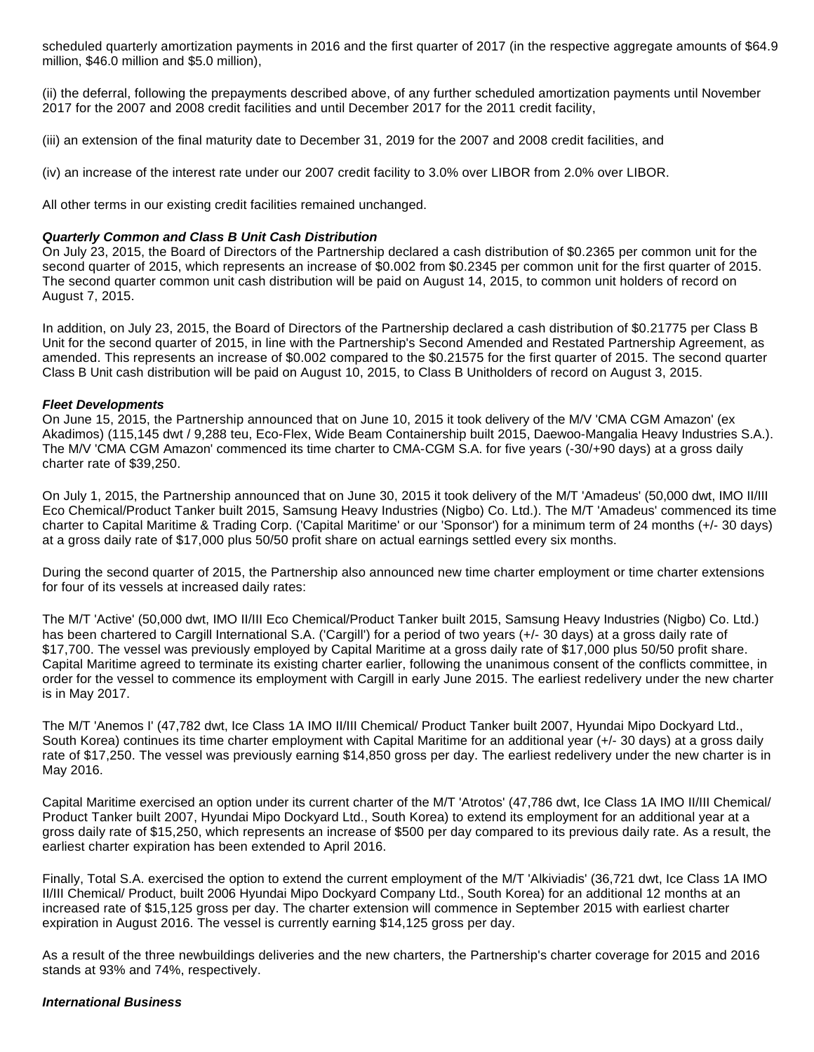scheduled quarterly amortization payments in 2016 and the first quarter of 2017 (in the respective aggregate amounts of \$64.9 million, \$46.0 million and \$5.0 million),

(ii) the deferral, following the prepayments described above, of any further scheduled amortization payments until November 2017 for the 2007 and 2008 credit facilities and until December 2017 for the 2011 credit facility,

(iii) an extension of the final maturity date to December 31, 2019 for the 2007 and 2008 credit facilities, and

(iv) an increase of the interest rate under our 2007 credit facility to 3.0% over LIBOR from 2.0% over LIBOR.

All other terms in our existing credit facilities remained unchanged.

## **Quarterly Common and Class B Unit Cash Distribution**

On July 23, 2015, the Board of Directors of the Partnership declared a cash distribution of \$0.2365 per common unit for the second quarter of 2015, which represents an increase of \$0.002 from \$0.2345 per common unit for the first quarter of 2015. The second quarter common unit cash distribution will be paid on August 14, 2015, to common unit holders of record on August 7, 2015.

In addition, on July 23, 2015, the Board of Directors of the Partnership declared a cash distribution of \$0.21775 per Class B Unit for the second quarter of 2015, in line with the Partnership's Second Amended and Restated Partnership Agreement, as amended. This represents an increase of \$0.002 compared to the \$0.21575 for the first quarter of 2015. The second quarter Class B Unit cash distribution will be paid on August 10, 2015, to Class B Unitholders of record on August 3, 2015.

## **Fleet Developments**

On June 15, 2015, the Partnership announced that on June 10, 2015 it took delivery of the M/V 'CMA CGM Amazon' (ex Akadimos) (115,145 dwt / 9,288 teu, Eco-Flex, Wide Beam Containership built 2015, Daewoo-Mangalia Heavy Industries S.A.). The M/V 'CMA CGM Amazon' commenced its time charter to CMA-CGM S.A. for five years (-30/+90 days) at a gross daily charter rate of \$39,250.

On July 1, 2015, the Partnership announced that on June 30, 2015 it took delivery of the M/T 'Amadeus' (50,000 dwt, IMO II/III Eco Chemical/Product Tanker built 2015, Samsung Heavy Industries (Nigbo) Co. Ltd.). The M/T 'Amadeus' commenced its time charter to Capital Maritime & Trading Corp. ('Capital Maritime' or our 'Sponsor') for a minimum term of 24 months (+/- 30 days) at a gross daily rate of \$17,000 plus 50/50 profit share on actual earnings settled every six months.

During the second quarter of 2015, the Partnership also announced new time charter employment or time charter extensions for four of its vessels at increased daily rates:

The M/T 'Active' (50,000 dwt, IMO II/III Eco Chemical/Product Tanker built 2015, Samsung Heavy Industries (Nigbo) Co. Ltd.) has been chartered to Cargill International S.A. ('Cargill') for a period of two years (+/- 30 days) at a gross daily rate of \$17,700. The vessel was previously employed by Capital Maritime at a gross daily rate of \$17,000 plus 50/50 profit share. Capital Maritime agreed to terminate its existing charter earlier, following the unanimous consent of the conflicts committee, in order for the vessel to commence its employment with Cargill in early June 2015. The earliest redelivery under the new charter is in May 2017.

The M/T 'Anemos I' (47,782 dwt, Ice Class 1A IMO II/III Chemical/ Product Tanker built 2007, Hyundai Mipo Dockyard Ltd., South Korea) continues its time charter employment with Capital Maritime for an additional year (+/- 30 days) at a gross daily rate of \$17,250. The vessel was previously earning \$14,850 gross per day. The earliest redelivery under the new charter is in May 2016.

Capital Maritime exercised an option under its current charter of the M/T 'Atrotos' (47,786 dwt, Ice Class 1A IMO II/III Chemical/ Product Tanker built 2007, Hyundai Mipo Dockyard Ltd., South Korea) to extend its employment for an additional year at a gross daily rate of \$15,250, which represents an increase of \$500 per day compared to its previous daily rate. As a result, the earliest charter expiration has been extended to April 2016.

Finally, Total S.A. exercised the option to extend the current employment of the M/T 'Alkiviadis' (36,721 dwt, Ice Class 1A IMO II/III Chemical/ Product, built 2006 Hyundai Mipo Dockyard Company Ltd., South Korea) for an additional 12 months at an increased rate of \$15,125 gross per day. The charter extension will commence in September 2015 with earliest charter expiration in August 2016. The vessel is currently earning \$14,125 gross per day.

As a result of the three newbuildings deliveries and the new charters, the Partnership's charter coverage for 2015 and 2016 stands at 93% and 74%, respectively.

#### **International Business**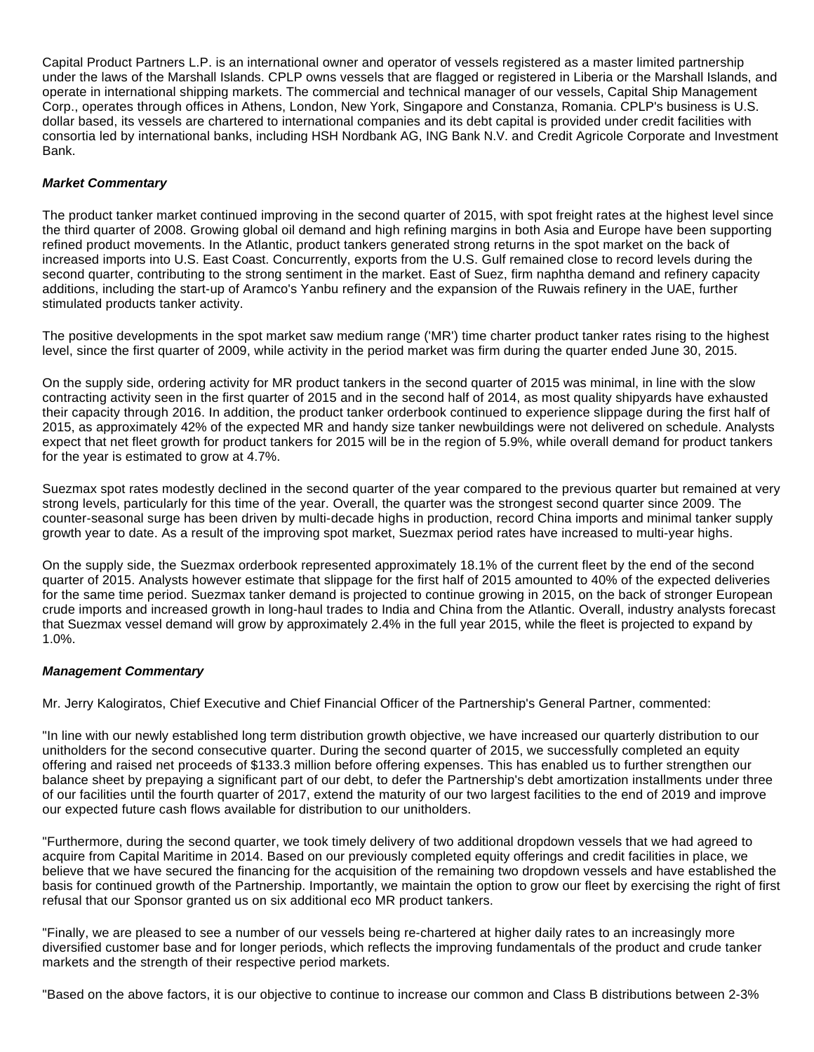Capital Product Partners L.P. is an international owner and operator of vessels registered as a master limited partnership under the laws of the Marshall Islands. CPLP owns vessels that are flagged or registered in Liberia or the Marshall Islands, and operate in international shipping markets. The commercial and technical manager of our vessels, Capital Ship Management Corp., operates through offices in Athens, London, New York, Singapore and Constanza, Romania. CPLP's business is U.S. dollar based, its vessels are chartered to international companies and its debt capital is provided under credit facilities with consortia led by international banks, including HSH Nordbank AG, ING Bank N.V. and Credit Agricole Corporate and Investment Bank.

# **Market Commentary**

The product tanker market continued improving in the second quarter of 2015, with spot freight rates at the highest level since the third quarter of 2008. Growing global oil demand and high refining margins in both Asia and Europe have been supporting refined product movements. In the Atlantic, product tankers generated strong returns in the spot market on the back of increased imports into U.S. East Coast. Concurrently, exports from the U.S. Gulf remained close to record levels during the second quarter, contributing to the strong sentiment in the market. East of Suez, firm naphtha demand and refinery capacity additions, including the start-up of Aramco's Yanbu refinery and the expansion of the Ruwais refinery in the UAE, further stimulated products tanker activity.

The positive developments in the spot market saw medium range ('MR') time charter product tanker rates rising to the highest level, since the first quarter of 2009, while activity in the period market was firm during the quarter ended June 30, 2015.

On the supply side, ordering activity for MR product tankers in the second quarter of 2015 was minimal, in line with the slow contracting activity seen in the first quarter of 2015 and in the second half of 2014, as most quality shipyards have exhausted their capacity through 2016. In addition, the product tanker orderbook continued to experience slippage during the first half of 2015, as approximately 42% of the expected MR and handy size tanker newbuildings were not delivered on schedule. Analysts expect that net fleet growth for product tankers for 2015 will be in the region of 5.9%, while overall demand for product tankers for the year is estimated to grow at 4.7%.

Suezmax spot rates modestly declined in the second quarter of the year compared to the previous quarter but remained at very strong levels, particularly for this time of the year. Overall, the quarter was the strongest second quarter since 2009. The counter-seasonal surge has been driven by multi-decade highs in production, record China imports and minimal tanker supply growth year to date. As a result of the improving spot market, Suezmax period rates have increased to multi-year highs.

On the supply side, the Suezmax orderbook represented approximately 18.1% of the current fleet by the end of the second quarter of 2015. Analysts however estimate that slippage for the first half of 2015 amounted to 40% of the expected deliveries for the same time period. Suezmax tanker demand is projected to continue growing in 2015, on the back of stronger European crude imports and increased growth in long-haul trades to India and China from the Atlantic. Overall, industry analysts forecast that Suezmax vessel demand will grow by approximately 2.4% in the full year 2015, while the fleet is projected to expand by 1.0%.

## **Management Commentary**

Mr. Jerry Kalogiratos, Chief Executive and Chief Financial Officer of the Partnership's General Partner, commented:

"In line with our newly established long term distribution growth objective, we have increased our quarterly distribution to our unitholders for the second consecutive quarter. During the second quarter of 2015, we successfully completed an equity offering and raised net proceeds of \$133.3 million before offering expenses. This has enabled us to further strengthen our balance sheet by prepaying a significant part of our debt, to defer the Partnership's debt amortization installments under three of our facilities until the fourth quarter of 2017, extend the maturity of our two largest facilities to the end of 2019 and improve our expected future cash flows available for distribution to our unitholders.

"Furthermore, during the second quarter, we took timely delivery of two additional dropdown vessels that we had agreed to acquire from Capital Maritime in 2014. Based on our previously completed equity offerings and credit facilities in place, we believe that we have secured the financing for the acquisition of the remaining two dropdown vessels and have established the basis for continued growth of the Partnership. Importantly, we maintain the option to grow our fleet by exercising the right of first refusal that our Sponsor granted us on six additional eco MR product tankers.

"Finally, we are pleased to see a number of our vessels being re-chartered at higher daily rates to an increasingly more diversified customer base and for longer periods, which reflects the improving fundamentals of the product and crude tanker markets and the strength of their respective period markets.

"Based on the above factors, it is our objective to continue to increase our common and Class B distributions between 2-3%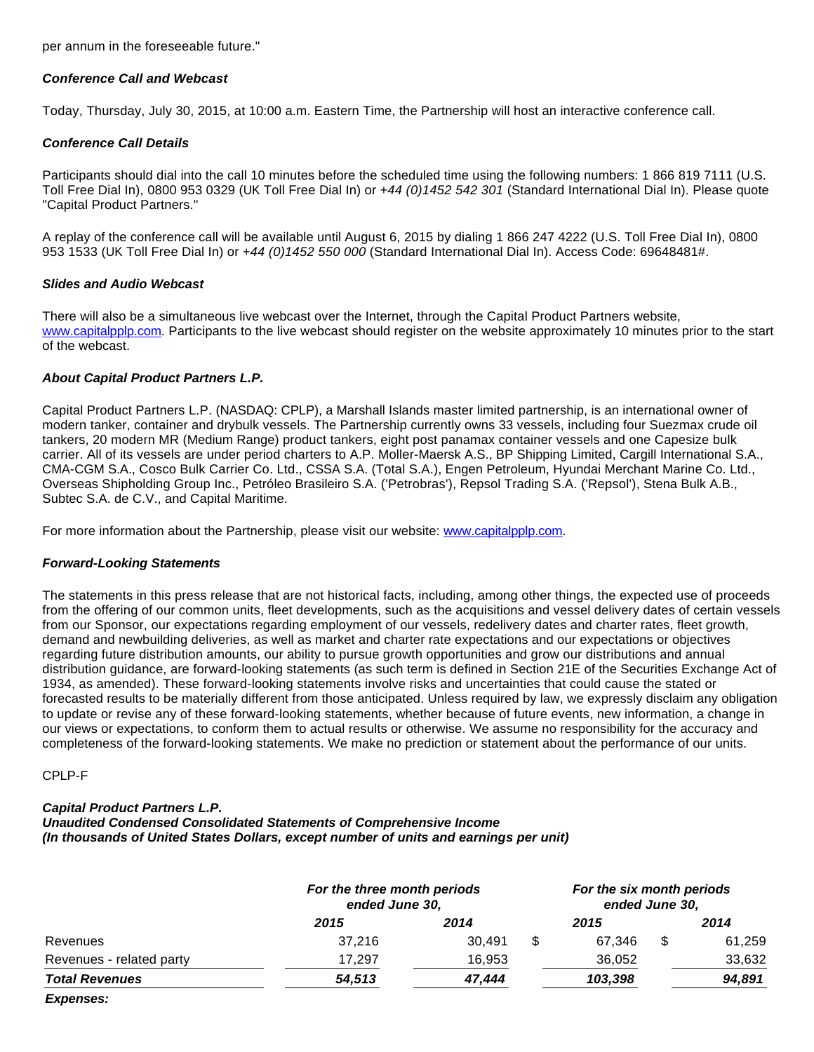per annum in the foreseeable future."

## **Conference Call and Webcast**

Today, Thursday, July 30, 2015, at 10:00 a.m. Eastern Time, the Partnership will host an interactive conference call.

## **Conference Call Details**

Participants should dial into the call 10 minutes before the scheduled time using the following numbers: 1 866 819 7111 (U.S. Toll Free Dial In), 0800 953 0329 (UK Toll Free Dial In) or +44 (0)1452 542 301 (Standard International Dial In). Please quote "Capital Product Partners."

A replay of the conference call will be available until August 6, 2015 by dialing 1 866 247 4222 (U.S. Toll Free Dial In), 0800 953 1533 (UK Toll Free Dial In) or +44 (0)1452 550 000 (Standard International Dial In). Access Code: 69648481#.

## **Slides and Audio Webcast**

There will also be a simultaneous live webcast over the Internet, through the Capital Product Partners website, [www.capitalpplp.com](http://www.capitalpplp.com/). Participants to the live webcast should register on the website approximately 10 minutes prior to the start of the webcast.

## **About Capital Product Partners L.P.**

Capital Product Partners L.P. (NASDAQ: CPLP), a Marshall Islands master limited partnership, is an international owner of modern tanker, container and drybulk vessels. The Partnership currently owns 33 vessels, including four Suezmax crude oil tankers, 20 modern MR (Medium Range) product tankers, eight post panamax container vessels and one Capesize bulk carrier. All of its vessels are under period charters to A.P. Moller-Maersk A.S., BP Shipping Limited, Cargill International S.A., CMA-CGM S.A., Cosco Bulk Carrier Co. Ltd., CSSA S.A. (Total S.A.), Engen Petroleum, Hyundai Merchant Marine Co. Ltd., Overseas Shipholding Group Inc., Petróleo Brasileiro S.A. ('Petrobras'), Repsol Trading S.A. ('Repsol'), Stena Bulk A.B., Subtec S.A. de C.V., and Capital Maritime.

For more information about the Partnership, please visit our website: [www.capitalpplp.com](http://www.capitalpplp.com/).

## **Forward-Looking Statements**

The statements in this press release that are not historical facts, including, among other things, the expected use of proceeds from the offering of our common units, fleet developments, such as the acquisitions and vessel delivery dates of certain vessels from our Sponsor, our expectations regarding employment of our vessels, redelivery dates and charter rates, fleet growth, demand and newbuilding deliveries, as well as market and charter rate expectations and our expectations or objectives regarding future distribution amounts, our ability to pursue growth opportunities and grow our distributions and annual distribution guidance, are forward-looking statements (as such term is defined in Section 21E of the Securities Exchange Act of 1934, as amended). These forward-looking statements involve risks and uncertainties that could cause the stated or forecasted results to be materially different from those anticipated. Unless required by law, we expressly disclaim any obligation to update or revise any of these forward-looking statements, whether because of future events, new information, a change in our views or expectations, to conform them to actual results or otherwise. We assume no responsibility for the accuracy and completeness of the forward-looking statements. We make no prediction or statement about the performance of our units.

#### CPLP-F

## **Capital Product Partners L.P.**

**Unaudited Condensed Consolidated Statements of Comprehensive Income (In thousands of United States Dollars, except number of units and earnings per unit)**

|                          | For the three month periods<br>ended June 30, |        | For the six month periods<br>ended June 30, |   |        |  |
|--------------------------|-----------------------------------------------|--------|---------------------------------------------|---|--------|--|
|                          | 2015                                          | 2014   | 2015                                        |   | 2014   |  |
| Revenues                 | 37.216                                        | 30.491 | 67.346                                      | S | 61,259 |  |
| Revenues - related party | 17,297                                        | 16,953 | 36,052                                      |   | 33,632 |  |
| <b>Total Revenues</b>    | 54,513                                        | 47,444 | 103,398                                     |   | 94,891 |  |
| Expenses:                |                                               |        |                                             |   |        |  |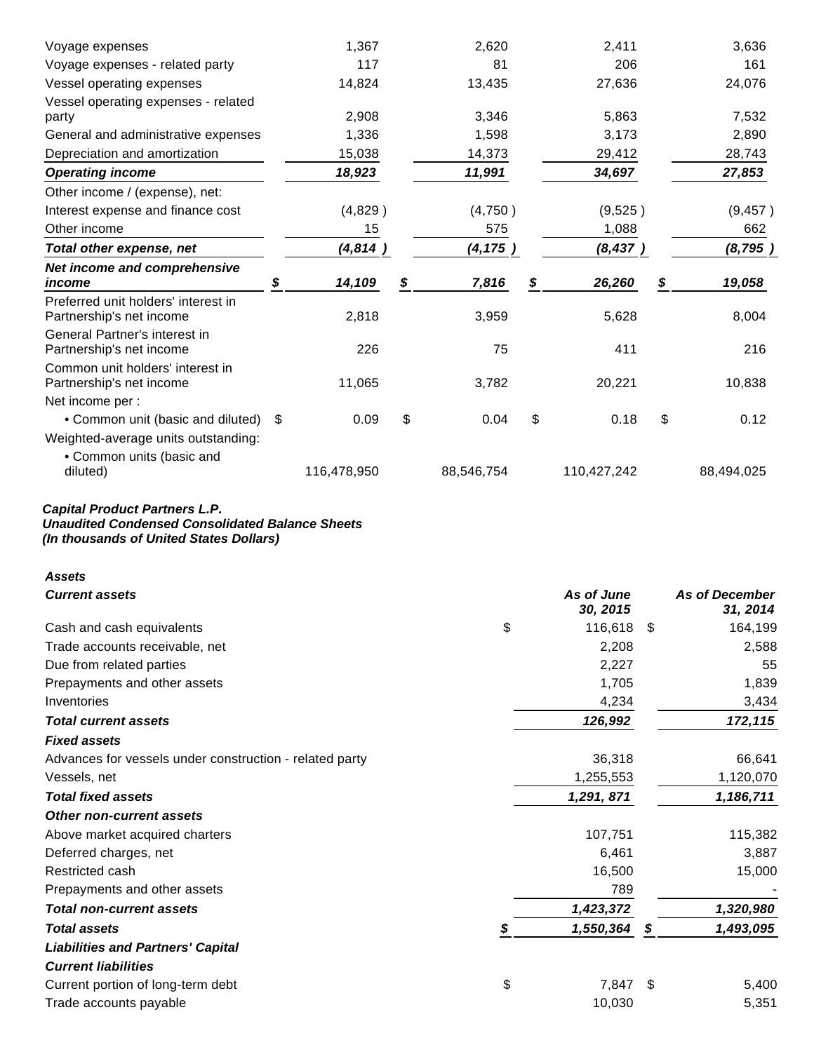| Voyage expenses                                                          | 1,367        | 2,620       | 2,411        | 3,636        |
|--------------------------------------------------------------------------|--------------|-------------|--------------|--------------|
| Voyage expenses - related party                                          | 117          | 81          | 206          | 161          |
| Vessel operating expenses                                                | 14,824       | 13,435      | 27,636       | 24,076       |
| Vessel operating expenses - related<br>party                             | 2,908        | 3,346       | 5,863        | 7,532        |
| General and administrative expenses                                      | 1,336        | 1,598       | 3,173        | 2,890        |
| Depreciation and amortization                                            | 15,038       | 14,373      | 29,412       | 28,743       |
| <b>Operating income</b>                                                  | 18,923       | 11,991      | 34,697       | 27,853       |
| Other income / (expense), net:                                           |              |             |              |              |
| Interest expense and finance cost                                        | (4,829)      | (4,750)     | (9,525)      | (9, 457)     |
| Other income                                                             | 15           | 575         | 1,088        | 662          |
| Total other expense, net                                                 | (4,814)      | (4, 175)    | (8, 437)     | (8, 795)     |
| Net income and comprehensive<br>income                                   | \$<br>14,109 | \$<br>7,816 | \$<br>26,260 | \$<br>19,058 |
| Preferred unit holders' interest in<br>Partnership's net income          | 2,818        | 3,959       | 5,628        | 8,004        |
| General Partner's interest in<br>Partnership's net income                | 226          | 75          | 411          | 216          |
| Common unit holders' interest in<br>Partnership's net income             | 11,065       | 3,782       | 20,221       | 10,838       |
| Net income per :                                                         |              |             |              |              |
| • Common unit (basic and diluted)<br>Weighted-average units outstanding: | \$<br>0.09   | \$<br>0.04  | \$<br>0.18   | \$<br>0.12   |
| • Common units (basic and<br>diluted)                                    | 116,478,950  | 88,546,754  | 110,427,242  | 88,494,025   |

#### **Capital Product Partners L.P. Unaudited Condensed Consolidated Balance Sheets (In thousands of United States Dollars)**

| <b>Assets</b>                                           |    |                        |      |                                   |
|---------------------------------------------------------|----|------------------------|------|-----------------------------------|
| <b>Current assets</b>                                   |    | As of June<br>30, 2015 |      | <b>As of December</b><br>31, 2014 |
| Cash and cash equivalents                               | \$ | 116,618                | -\$  | 164,199                           |
| Trade accounts receivable, net                          |    | 2,208                  |      | 2,588                             |
| Due from related parties                                |    | 2,227                  |      | 55                                |
| Prepayments and other assets                            |    | 1,705                  |      | 1,839                             |
| Inventories                                             |    | 4,234                  |      | 3,434                             |
| <b>Total current assets</b>                             |    | 126,992                |      | 172,115                           |
| <b>Fixed assets</b>                                     |    |                        |      |                                   |
| Advances for vessels under construction - related party |    | 36,318                 |      | 66,641                            |
| Vessels, net                                            |    | 1,255,553              |      | 1,120,070                         |
| <b>Total fixed assets</b>                               |    | 1,291, 871             |      | 1,186,711                         |
| <b>Other non-current assets</b>                         |    |                        |      |                                   |
| Above market acquired charters                          |    | 107,751                |      | 115,382                           |
| Deferred charges, net                                   |    | 6,461                  |      | 3,887                             |
| Restricted cash                                         |    | 16,500                 |      | 15,000                            |
| Prepayments and other assets                            |    | 789                    |      |                                   |
| <b>Total non-current assets</b>                         |    | 1,423,372              |      | 1,320,980                         |
| <b>Total assets</b>                                     | S  | 1,550,364              | \$   | 1,493,095                         |
| <b>Liabilities and Partners' Capital</b>                |    |                        |      |                                   |
| <b>Current liabilities</b>                              |    |                        |      |                                   |
| Current portion of long-term debt                       | \$ | 7,847                  | - \$ | 5,400                             |
| Trade accounts payable                                  |    | 10,030                 |      | 5,351                             |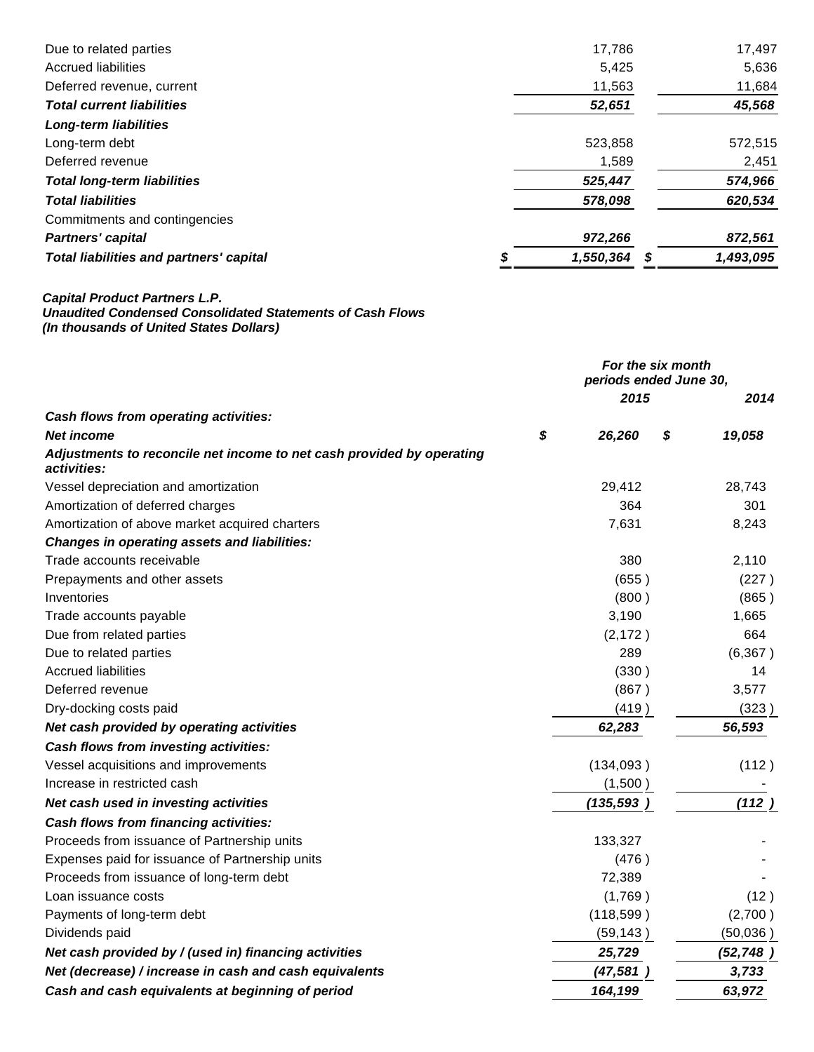| Due to related parties                         | 17,786    | 17,497    |
|------------------------------------------------|-----------|-----------|
| Accrued liabilities                            | 5,425     | 5,636     |
| Deferred revenue, current                      | 11,563    | 11,684    |
| <b>Total current liabilities</b>               | 52,651    | 45,568    |
| <b>Long-term liabilities</b>                   |           |           |
| Long-term debt                                 | 523,858   | 572,515   |
| Deferred revenue                               | 1,589     | 2,451     |
| <b>Total long-term liabilities</b>             | 525,447   | 574,966   |
| <b>Total liabilities</b>                       | 578,098   | 620,534   |
| Commitments and contingencies                  |           |           |
| <b>Partners' capital</b>                       | 972,266   | 872,561   |
| <b>Total liabilities and partners' capital</b> | 1,550,364 | 1,493,095 |

#### **Capital Product Partners L.P. Unaudited Condensed Consolidated Statements of Cash Flows (In thousands of United States Dollars)**

|                                                                                      | For the six month<br>periods ended June 30, |    |           |  |
|--------------------------------------------------------------------------------------|---------------------------------------------|----|-----------|--|
|                                                                                      | 2015                                        |    | 2014      |  |
| Cash flows from operating activities:                                                |                                             |    |           |  |
| <b>Net income</b>                                                                    | \$<br>26,260                                | \$ | 19,058    |  |
| Adjustments to reconcile net income to net cash provided by operating<br>activities: |                                             |    |           |  |
| Vessel depreciation and amortization                                                 | 29,412                                      |    | 28,743    |  |
| Amortization of deferred charges                                                     | 364                                         |    | 301       |  |
| Amortization of above market acquired charters                                       | 7,631                                       |    | 8,243     |  |
| <b>Changes in operating assets and liabilities:</b>                                  |                                             |    |           |  |
| Trade accounts receivable                                                            | 380                                         |    | 2,110     |  |
| Prepayments and other assets                                                         | (655)                                       |    | (227)     |  |
| Inventories                                                                          | (800)                                       |    | (865)     |  |
| Trade accounts payable                                                               | 3,190                                       |    | 1,665     |  |
| Due from related parties                                                             | (2, 172)                                    |    | 664       |  |
| Due to related parties                                                               | 289                                         |    | (6, 367)  |  |
| <b>Accrued liabilities</b>                                                           | (330)                                       |    | 14        |  |
| Deferred revenue                                                                     | (867)                                       |    | 3,577     |  |
| Dry-docking costs paid                                                               | (419)                                       |    | (323)     |  |
| Net cash provided by operating activities                                            | 62,283                                      |    | 56,593    |  |
| Cash flows from investing activities:                                                |                                             |    |           |  |
| Vessel acquisitions and improvements                                                 | (134, 093)                                  |    | (112)     |  |
| Increase in restricted cash                                                          | (1,500)                                     |    |           |  |
| Net cash used in investing activities                                                | (135, 593)                                  |    | (112)     |  |
| Cash flows from financing activities:                                                |                                             |    |           |  |
| Proceeds from issuance of Partnership units                                          | 133,327                                     |    |           |  |
| Expenses paid for issuance of Partnership units                                      | (476)                                       |    |           |  |
| Proceeds from issuance of long-term debt                                             | 72,389                                      |    |           |  |
| Loan issuance costs                                                                  | (1,769)                                     |    | (12)      |  |
| Payments of long-term debt                                                           | (118, 599)                                  |    | (2,700)   |  |
| Dividends paid                                                                       | (59, 143)                                   |    | (50,036)  |  |
| Net cash provided by / (used in) financing activities                                | 25,729                                      |    | (52, 748) |  |
| Net (decrease) / increase in cash and cash equivalents                               | (47, 581)                                   |    | 3,733     |  |
| Cash and cash equivalents at beginning of period                                     | 164,199                                     |    | 63,972    |  |